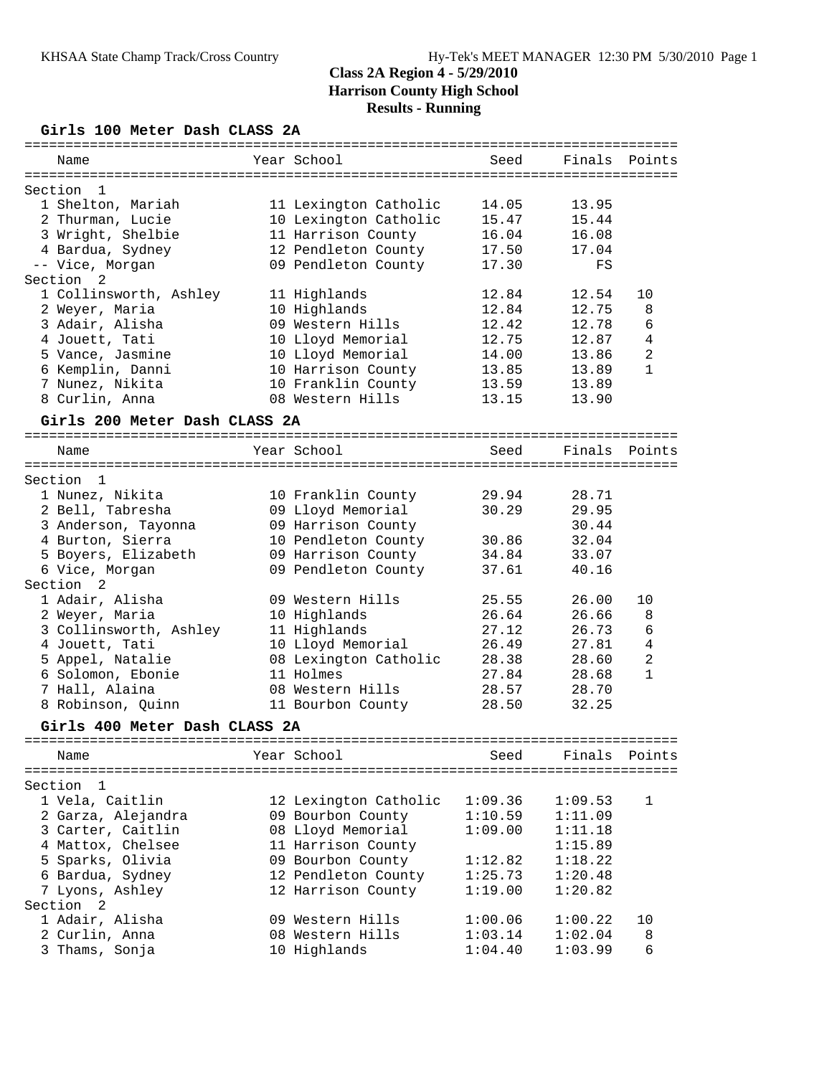## **Girls 100 Meter Dash CLASS 2A**

|                               |                       | :================= |         |                |
|-------------------------------|-----------------------|--------------------|---------|----------------|
| Name                          | Year School           | Seed               | Finals  | Points         |
| Section<br>1                  |                       |                    |         |                |
| 1 Shelton, Mariah             | 11 Lexington Catholic | 14.05              | 13.95   |                |
| 2 Thurman, Lucie              | 10 Lexington Catholic | 15.47              | 15.44   |                |
| 3 Wright, Shelbie             |                       | 16.04              | 16.08   |                |
|                               | 11 Harrison County    |                    |         |                |
| 4 Bardua, Sydney              | 12 Pendleton County   | 17.50              | 17.04   |                |
| -- Vice, Morgan               | 09 Pendleton County   | 17.30              | FS      |                |
| Section<br>2                  |                       |                    |         |                |
| 1 Collinsworth, Ashley        | 11 Highlands          | 12.84              | 12.54   | 10             |
| 2 Weyer, Maria                | 10 Highlands          | 12.84              | 12.75   | 8              |
| 3 Adair, Alisha               | 09 Western Hills      | 12.42              | 12.78   | 6              |
| 4 Jouett, Tati                | 10 Lloyd Memorial     | 12.75              | 12.87   | 4              |
| 5 Vance, Jasmine              | 10 Lloyd Memorial     | 14.00              | 13.86   | 2              |
| 6 Kemplin, Danni              | 10 Harrison County    | 13.85              | 13.89   | $\mathbf{1}$   |
| 7 Nunez, Nikita               | 10 Franklin County    | 13.59              | 13.89   |                |
| 8 Curlin, Anna                | 08 Western Hills      | 13.15              | 13.90   |                |
| Girls 200 Meter Dash CLASS 2A |                       |                    |         |                |
|                               |                       |                    |         |                |
| Name                          | Year School           | Seed               | Finals  | Points         |
| Section 1                     |                       |                    |         |                |
|                               |                       |                    | 28.71   |                |
| 1 Nunez, Nikita               | 10 Franklin County    | 29.94              |         |                |
| 2 Bell, Tabresha              | 09 Lloyd Memorial     | 30.29              | 29.95   |                |
| 3 Anderson, Tayonna           | 09 Harrison County    |                    | 30.44   |                |
| 4 Burton, Sierra              | 10 Pendleton County   | 30.86              | 32.04   |                |
| 5 Boyers, Elizabeth           | 09 Harrison County    | 34.84              | 33.07   |                |
| 6 Vice, Morgan                | 09 Pendleton County   | 37.61              | 40.16   |                |
| Section<br>2                  |                       |                    |         |                |
| 1 Adair, Alisha               | 09 Western Hills      | 25.55              | 26.00   | 10             |
| 2 Weyer, Maria                | 10 Highlands          | 26.64              | 26.66   | 8              |
| 3 Collinsworth, Ashley        | 11 Highlands          | 27.12              | 26.73   | 6              |
| 4 Jouett, Tati                | 10 Lloyd Memorial     | 26.49              | 27.81   | 4              |
| 5 Appel, Natalie              | 08 Lexington Catholic | 28.38              | 28.60   | $\overline{2}$ |
| 6 Solomon, Ebonie             | 11 Holmes             | 27.84              | 28.68   | $\mathbf{1}$   |
| 7 Hall, Alaina                | 08 Western Hills      | 28.57              | 28.70   |                |
| 8 Robinson, Quinn             | 11 Bourbon County     | 28.50              | 32.25   |                |
|                               |                       |                    |         |                |
| Girls 400 Meter Dash CLASS 2A |                       |                    |         |                |
| Name                          | Year School           | Seed               | Finals  | Points         |
|                               |                       |                    |         |                |
| Section<br>1                  |                       |                    |         |                |
| 1 Vela, Caitlin               | 12 Lexington Catholic | 1:09.36            | 1:09.53 | 1              |
| 2 Garza, Alejandra            | 09 Bourbon County     | 1:10.59            | 1:11.09 |                |
| 3 Carter, Caitlin             | 08 Lloyd Memorial     | 1:09.00            | 1:11.18 |                |
| 4 Mattox, Chelsee             | 11 Harrison County    |                    | 1:15.89 |                |
| 5 Sparks, Olivia              | 09 Bourbon County     | 1:12.82            | 1:18.22 |                |
| 6 Bardua, Sydney              | 12 Pendleton County   | 1:25.73            | 1:20.48 |                |
| 7 Lyons, Ashley               | 12 Harrison County    | 1:19.00            | 1:20.82 |                |
| Section 2                     |                       |                    |         |                |
| 1 Adair, Alisha               | 09 Western Hills      | 1:00.06            | 1:00.22 | 10             |
| 2 Curlin, Anna                | 08 Western Hills      | 1:03.14            | 1:02.04 | 8              |
| 3 Thams, Sonja                | 10 Highlands          | 1:04.40            | 1:03.99 | 6              |
|                               |                       |                    |         |                |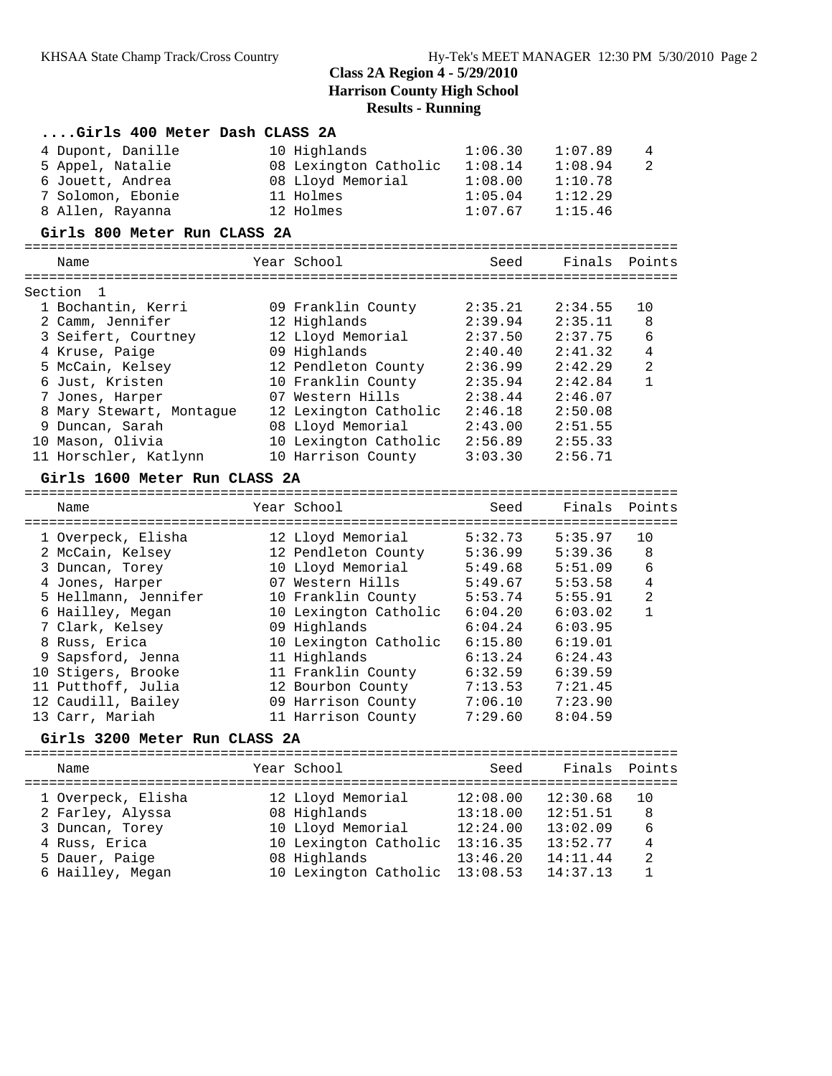|                 | Girls 400 Meter Dash CLASS 2A                                  |                       |                     |         |                |
|-----------------|----------------------------------------------------------------|-----------------------|---------------------|---------|----------------|
|                 | 4 Dupont, Danille                                              | 10 Highlands          | 1:06.30             | 1:07.89 | 4              |
|                 | 5 Appel, Natalie                                               | 08 Lexington Catholic | 1:08.14             | 1:08.94 | $\mathfrak{D}$ |
|                 | 6 Jouett, Andrea                                               | 08 Lloyd Memorial     | 1:08.00             | 1:10.78 |                |
|                 | 7 Solomon, Ebonie                                              | 11 Holmes             | 1:05.04             | 1:12.29 |                |
|                 | 8 Allen, Rayanna                                               | 12 Holmes             | 1:07.67             | 1:15.46 |                |
|                 | Girls 800 Meter Run CLASS 2A                                   |                       |                     |         |                |
|                 | Name                                                           | Year School           | Seed                | Finals  | Points         |
|                 | =================================<br>Section<br>$\overline{1}$ |                       |                     |         |                |
|                 | 1 Bochantin, Kerri                                             | 09 Franklin County    | 2:35.21             | 2:34.55 | 10             |
|                 | 2 Camm, Jennifer                                               | 12 Highlands          | 2:39.94             | 2:35.11 | 8              |
|                 | 3 Seifert, Courtney                                            | 12 Lloyd Memorial     | 2:37.50             | 2:37.75 | 6              |
|                 | 4 Kruse, Paige                                                 | 09 Highlands          | 2:40.40             | 2:41.32 | 4              |
|                 | 5 McCain, Kelsey                                               | 12 Pendleton County   | 2:36.99             | 2:42.29 | $\overline{2}$ |
|                 | 6 Just, Kristen                                                | 10 Franklin County    | 2:35.94             | 2:42.84 | $\mathbf{1}$   |
|                 | 7 Jones, Harper                                                | 07 Western Hills      | 2:38.44             | 2:46.07 |                |
|                 | 8 Mary Stewart, Montaque                                       | 12 Lexington Catholic | 2:46.18             | 2:50.08 |                |
| 9               | Duncan, Sarah                                                  | 08 Lloyd Memorial     | 2:43.00             | 2:51.55 |                |
| 10 <sup>°</sup> | Mason, Olivia                                                  | 10 Lexington Catholic | $2:56.89$ $2:55.33$ |         |                |
|                 | 11 Horschler, Katlynn                                          | 10 Harrison County    | 3:03.30             | 2:56.71 |                |
|                 |                                                                |                       |                     |         |                |

## **Girls 1600 Meter Run CLASS 2A**

| Name                 | Year School           | Seed    | Finals Points |                |
|----------------------|-----------------------|---------|---------------|----------------|
| 1 Overpeck, Elisha   | 12 Lloyd Memorial     | 5:32.73 | 5:35.97       | 10             |
| 2 McCain, Kelsey     | 12 Pendleton County   | 5:36.99 | 5:39.36       | 8              |
| 3 Duncan, Torey      | 10 Lloyd Memorial     | 5:49.68 | 5:51.09       | 6              |
| 4 Jones, Harper      | 07 Western Hills      | 5:49.67 | 5:53.58       | 4              |
| 5 Hellmann, Jennifer | 10 Franklin County    | 5:53.74 | 5:55.91       | $\mathfrak{D}$ |
| 6 Hailley, Megan     | 10 Lexington Catholic | 6:04.20 | 6:03.02       |                |
| 7 Clark, Kelsey      | 09 Highlands          | 6:04.24 | 6:03.95       |                |
| 8 Russ, Erica        | 10 Lexington Catholic | 6:15.80 | 6:19.01       |                |
| 9 Sapsford, Jenna    | 11 Highlands          | 6:13.24 | 6:24.43       |                |
| 10 Stigers, Brooke   | 11 Franklin County    | 6:32.59 | 6:39.59       |                |
| 11 Putthoff, Julia   | 12 Bourbon County     | 7:13.53 | 7:21.45       |                |
| 12 Caudill, Bailey   | 09 Harrison County    | 7:06.10 | 7:23.90       |                |
| 13 Carr, Mariah      | 11 Harrison County    | 7:29.60 | 8:04.59       |                |
|                      |                       |         |               |                |

### **Girls 3200 Meter Run CLASS 2A**

| Name               | Year School           | Seed     | Finals Points |     |
|--------------------|-----------------------|----------|---------------|-----|
| 1 Overpeck, Elisha | 12 Lloyd Memorial     | 12:08.00 | 12:30.68      | 1 O |
| 2 Farley, Alyssa   | 08 Highlands          | 13:18.00 | 12:51.51      | 8   |
| 3 Duncan, Torey    | 10 Lloyd Memorial     | 12:24.00 | 13:02.09      | 6   |
| 4 Russ, Erica      | 10 Lexington Catholic | 13:16.35 | 13:52.77      | 4   |
| 5 Dauer, Paige     | 08 Highlands          | 13:46.20 | 14:11.44      | 2   |
| 6 Hailley, Megan   | 10 Lexington Catholic | 13:08.53 | 14:37.13      |     |
|                    |                       |          |               |     |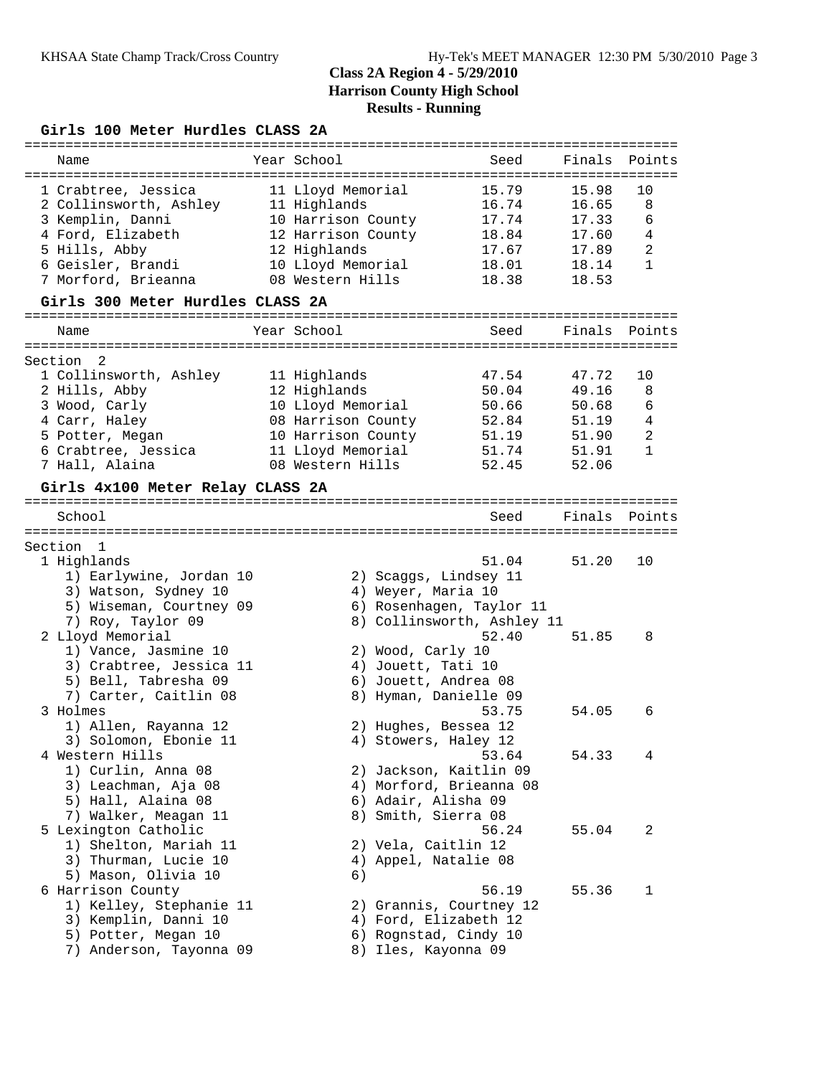### **Girls 100 Meter Hurdles CLASS 2A**

| Name                             | Year School        | Seed                       | Finals | Points         |
|----------------------------------|--------------------|----------------------------|--------|----------------|
|                                  |                    |                            |        |                |
| 1 Crabtree, Jessica              | 11 Lloyd Memorial  | 15.79                      | 15.98  | 10             |
| 2 Collinsworth, Ashley           | 11 Highlands       | 16.74                      | 16.65  | 8              |
| 3 Kemplin, Danni                 | 10 Harrison County | 17.74                      | 17.33  | 6              |
| 4 Ford, Elizabeth                | 12 Harrison County | 18.84                      | 17.60  | $\overline{4}$ |
| 5 Hills, Abby                    | 12 Highlands       | 17.67                      | 17.89  | $\overline{c}$ |
|                                  |                    | 18.01                      |        | 1              |
| 6 Geisler, Brandi                | 10 Lloyd Memorial  |                            | 18.14  |                |
| 7 Morford, Brieanna              | 08 Western Hills   | 18.38                      | 18.53  |                |
| Girls 300 Meter Hurdles CLASS 2A |                    |                            |        |                |
| Name                             | Year School        | Seed                       | Finals | Points         |
|                                  |                    |                            |        |                |
| Section<br>2                     |                    |                            |        |                |
| 1 Collinsworth, Ashley           | 11 Highlands       | 47.54                      | 47.72  | 10             |
| 2 Hills, Abby                    | 12 Highlands       | 50.04                      | 49.16  | 8              |
| 3 Wood, Carly                    | 10 Lloyd Memorial  | 50.66                      | 50.68  | 6              |
| 4 Carr, Haley                    | 08 Harrison County | 52.84                      | 51.19  | 4              |
| 5 Potter, Megan                  | 10 Harrison County | 51.19                      | 51.90  | $\mathbf{2}$   |
| 6 Crabtree, Jessica              | 11 Lloyd Memorial  | 51.74                      | 51.91  | 1              |
| 7 Hall, Alaina                   | 08 Western Hills   | 52.45                      | 52.06  |                |
|                                  |                    |                            |        |                |
| Girls 4x100 Meter Relay CLASS 2A |                    |                            |        |                |
|                                  |                    |                            |        |                |
| School                           |                    | Seed                       | Finals | Points         |
|                                  |                    |                            |        |                |
| Section<br>$\mathbf{1}$          |                    |                            |        |                |
| 1 Highlands                      |                    | 51.04                      | 51.20  | 10             |
| 1) Earlywine, Jordan 10          |                    | 2) Scaggs, Lindsey 11      |        |                |
| 3) Watson, Sydney 10             |                    | 4) Weyer, Maria 10         |        |                |
| 5) Wiseman, Courtney 09          |                    | 6) Rosenhagen, Taylor 11   |        |                |
| 7) Roy, Taylor 09                |                    | 8) Collinsworth, Ashley 11 |        |                |
|                                  |                    |                            |        |                |
| 2 Lloyd Memorial                 |                    | 52.40                      | 51.85  | 8              |
| 1) Vance, Jasmine 10             |                    | 2) Wood, Carly 10          |        |                |
| 3) Crabtree, Jessica 11          |                    | 4) Jouett, Tati 10         |        |                |
| 5) Bell, Tabresha 09             |                    | 6) Jouett, Andrea 08       |        |                |
| 7) Carter, Caitlin 08            |                    | 8) Hyman, Danielle 09      |        |                |
| 3 Holmes                         |                    | 53.75                      | 54.05  | 6              |
| 1) Allen, Rayanna 12             |                    | 2) Hughes, Bessea 12       |        |                |
| 3) Solomon, Ebonie 11            |                    | 4) Stowers, Haley 12       |        |                |
|                                  |                    |                            |        |                |
| 4 Western Hills                  |                    | 53.64                      | 54.33  | 4              |
| 1) Curlin, Anna 08               |                    | 2) Jackson, Kaitlin 09     |        |                |
| 3) Leachman, Aja 08              |                    | 4) Morford, Brieanna 08    |        |                |
| 5) Hall, Alaina 08               |                    | 6) Adair, Alisha 09        |        |                |
| 7) Walker, Meagan 11             |                    | 8) Smith, Sierra 08        |        |                |
| 5 Lexington Catholic             |                    | 56.24                      | 55.04  | 2              |
| 1) Shelton, Mariah 11            |                    | 2) Vela, Caitlin 12        |        |                |
|                                  |                    |                            |        |                |
| 3) Thurman, Lucie 10             |                    | 4) Appel, Natalie 08       |        |                |
| 5) Mason, Olivia 10              | 6)                 |                            |        |                |
| 6 Harrison County                |                    | 56.19                      | 55.36  | 1              |
| 1) Kelley, Stephanie 11          |                    | 2) Grannis, Courtney 12    |        |                |
| 3) Kemplin, Danni 10             |                    | 4) Ford, Elizabeth 12      |        |                |
| 5) Potter, Megan 10              |                    | 6) Rognstad, Cindy 10      |        |                |
| 7) Anderson, Tayonna 09          |                    |                            |        |                |
|                                  |                    | 8) Iles, Kayonna 09        |        |                |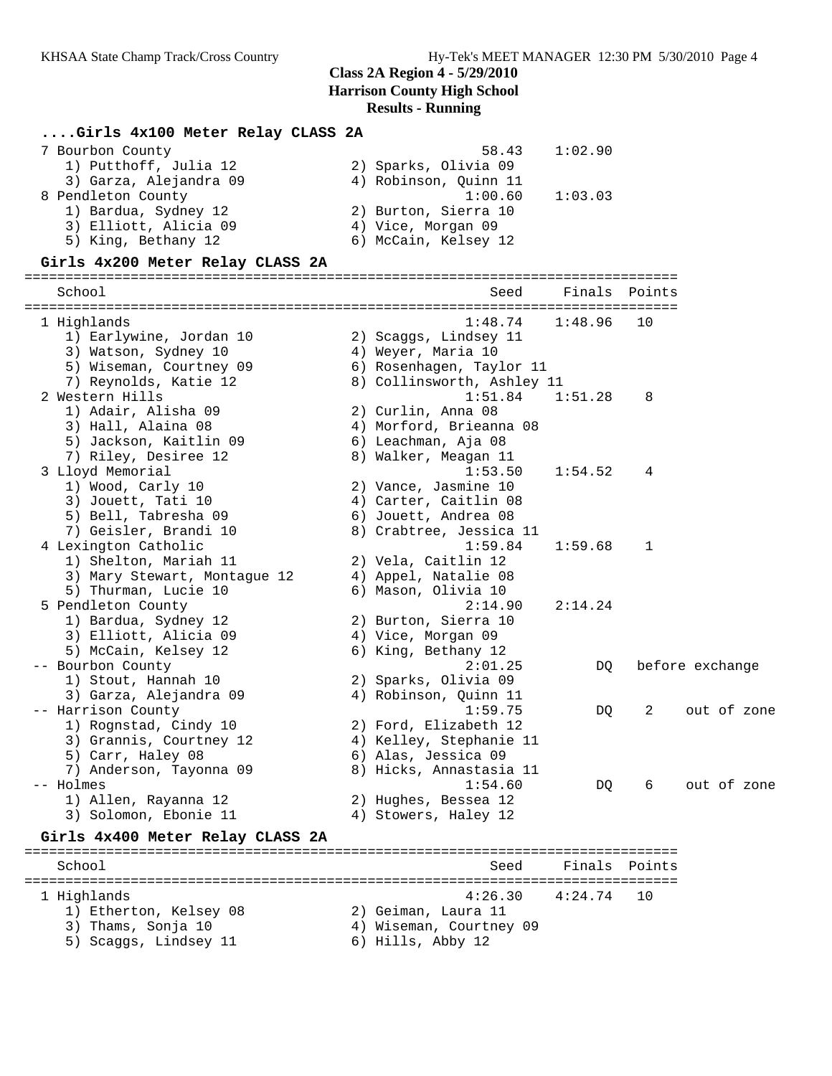### **....Girls 4x100 Meter Relay CLASS 2A**

| 7 Bourbon County       | 58.43                 | 1:02.90 |
|------------------------|-----------------------|---------|
| 1) Putthoff, Julia 12  | 2) Sparks, Olivia 09  |         |
| 3) Garza, Alejandra 09 | 4) Robinson, Ouinn 11 |         |
| 8 Pendleton County     | 1:00.60               | 1:03.03 |
| 1) Bardua, Sydney 12   | 2) Burton, Sierra 10  |         |
| 3) Elliott, Alicia 09  | 4) Vice, Morgan 09    |         |
| 5) King, Bethany 12    | 6) McCain, Kelsey 12  |         |

#### **Girls 4x200 Meter Relay CLASS 2A**

================================================================================ School Seed Finals Points ================================================================================ 1 Highlands 1:48.74 1:48.96 10 1) Earlywine, Jordan 10 2) Scaggs, Lindsey 11 3) Watson, Sydney 10  $\hskip1cm$  4) Weyer, Maria 10 5) Wiseman, Courtney 09 6) Rosenhagen, Taylor 11 7) Reynolds, Katie 12 8) Collinsworth, Ashley 11 2 Western Hills 1:51.84 1:51.28 8 1) Adair, Alisha 09 2) Curlin, Anna 08 3) Hall, Alaina 08 4) Morford, Brieanna 08 5) Jackson, Kaitlin 09 6) Leachman, Aja 08 7) Riley, Desiree 12 8) Walker, Meagan 11 3 Lloyd Memorial 1:53.50 1:54.52 4 1) Wood, Carly 10 2) Vance, Jasmine 10 3) Jouett, Tati 10  $\hskip10mm$  4) Carter, Caitlin 08 5) Bell, Tabresha 09 6) Jouett, Andrea 08 7) Geisler, Brandi 10 8) Crabtree, Jessica 11 4 Lexington Catholic 1:59.84 1:59.68 1 1) Shelton, Mariah 11 2) Vela, Caitlin 12 3) Mary Stewart, Montague 12  $\hskip1cm 4)$  Appel, Natalie 08 5) Thurman, Lucie 10 (6) Mason, Olivia 10 5 Pendleton County 2:14.90 2:14.24 1) Bardua, Sydney 12 2) Burton, Sierra 10 3) Elliott, Alicia 09 (4) Vice, Morgan 09 5) McCain, Kelsey 12 6) King, Bethany 12 -- Bourbon County 2:01.25 DQ before exchange 1) Stout, Hannah 10 2) Sparks, Olivia 09 3) Garza, Alejandra 09 4) Robinson, Quinn 11 -- Harrison County 1:59.75 DQ 2 out of zone 1) Rognstad, Cindy 10 2) Ford, Elizabeth 12 3) Grannis, Courtney 12 4) Kelley, Stephanie 11 5) Carr, Haley 08 6) Alas, Jessica 09 7) Anderson, Tayonna 09 8) Hicks, Annastasia 11 -- Holmes 1:54.60 DQ 6 out of zone 1) Allen, Rayanna 12 2) Hughes, Bessea 12 3) Solomon, Ebonie 11  $\hskip10mm$  4) Stowers, Haley 12 **Girls 4x400 Meter Relay CLASS 2A** ================================================================================ School Seed Finals Points ================================================================================

1 Highlands 4:26.30 4:24.74 10

- 1) Etherton, Kelsey 08 2) Geiman, Laura 11
- 3) Thams, Sonja 10 4) Wiseman, Courtney 09
- 5) Scaggs, Lindsey 11 (6) Hills, Abby 12
-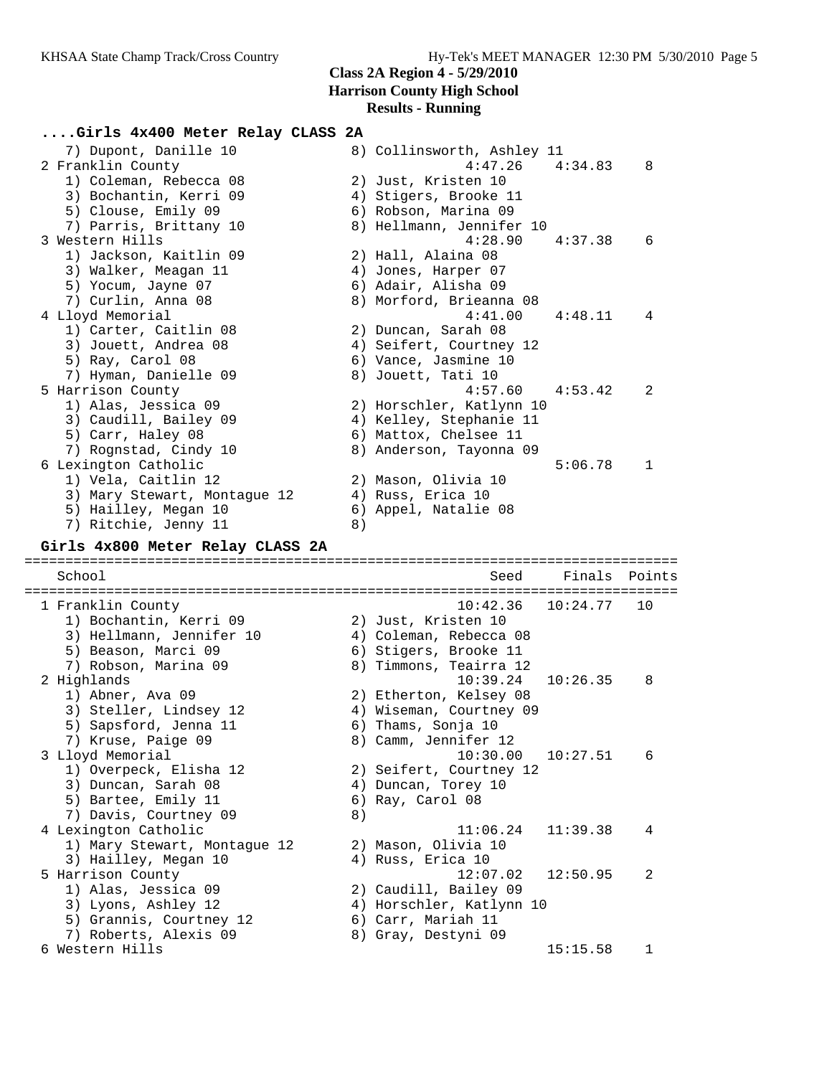#### **....Girls 4x400 Meter Relay CLASS 2A**

| 7) Dupont, Danille 10        | 8) Collinsworth, Ashley 11          |
|------------------------------|-------------------------------------|
| 2 Franklin County            | $4:47.26$ $4:34.83$<br>8            |
| 1) Coleman, Rebecca 08       | 2) Just, Kristen 10                 |
| 3) Bochantin, Kerri 09       | 4) Stigers, Brooke 11               |
| 5) Clouse, Emily 09          | 6) Robson, Marina 09                |
| 7) Parris, Brittany 10       | 8) Hellmann, Jennifer 10            |
| 3 Western Hills              | $4:28.90$ $4:37.38$<br>6            |
| 1) Jackson, Kaitlin 09       | 2) Hall, Alaina 08                  |
| 3) Walker, Meagan 11         | 4) Jones, Harper 07                 |
| 5) Yocum, Jayne 07           | 6) Adair, Alisha 09                 |
| 7) Curlin, Anna 08           | 8) Morford, Brieanna 08             |
| 4 Lloyd Memorial             | 4:41.00<br>4:48.11<br>4             |
| 1) Carter, Caitlin 08        | 2) Duncan, Sarah 08                 |
| 3) Jouett, Andrea 08         | 4) Seifert, Courtney 12             |
| 5) Ray, Carol 08             | 6) Vance, Jasmine 10                |
| 7) Hyman, Danielle 09        | 8) Jouett, Tati 10                  |
| 5 Harrison County            | 4:57.60<br>4:53.42<br>$\mathcal{L}$ |
| 1) Alas, Jessica 09          | 2) Horschler, Katlynn 10            |
| 3) Caudill, Bailey 09        | 4) Kelley, Stephanie 11             |
| 5) Carr, Haley 08            | 6) Mattox, Chelsee 11               |
| 7) Rognstad, Cindy 10        | 8) Anderson, Tayonna 09             |
| 6 Lexington Catholic         | 5:06.78<br>1                        |
| 1) Vela, Caitlin 12          | 2) Mason, Olivia 10                 |
| 3) Mary Stewart, Montaque 12 | 4) Russ, Erica 10                   |
| 5) Hailley, Megan 10         | 6) Appel, Natalie 08                |
| 7) Ritchie, Jenny 11         | 8)                                  |

#### **Girls 4x800 Meter Relay CLASS 2A**

================================================================================ School Seed Finals Points ================================================================================ 1 Franklin County 10:42.36 10:24.77 10 1) Bochantin, Kerri 09 2) Just, Kristen 10 3) Hellmann, Jennifer 10 4) Coleman, Rebecca 08 5) Beason, Marci 09 6) Stigers, Brooke 11 7) Robson, Marina 09 8) Timmons, Teairra 12 2 Highlands 10:39.24 10:26.35 8 1) Abner, Ava 09 2) Etherton, Kelsey 08 3) Steller, Lindsey 12 4) Wiseman, Courtney 09 5) Sapsford, Jenna 11 6) Thams, Sonja 10 7) Kruse, Paige 09 8) Camm, Jennifer 12 3 Lloyd Memorial 10:30.00 10:27.51 6 1) Overpeck, Elisha 12 2) Seifert, Courtney 12 3) Duncan, Sarah 08 4) Duncan, Torey 10 5) Bartee, Emily 11 6) Ray, Carol 08 7) Davis, Courtney 09 (8) 4 Lexington Catholic 11:06.24 11:39.38 4 1) Mary Stewart, Montague 12 2) Mason, Olivia 10 3) Hailley, Megan 10  $\hskip1cm \hskip1cm 4$ ) Russ, Erica 10 5 Harrison County 12:07.02 12:50.95 2 1) Alas, Jessica 09 2) Caudill, Bailey 09 3) Lyons, Ashley 12 4) Horschler, Katlynn 10 5) Grannis, Courtney 12 6) Carr, Mariah 11 7) Roberts, Alexis 09 8) Gray, Destyni 09 6 Western Hills 15:15.58 1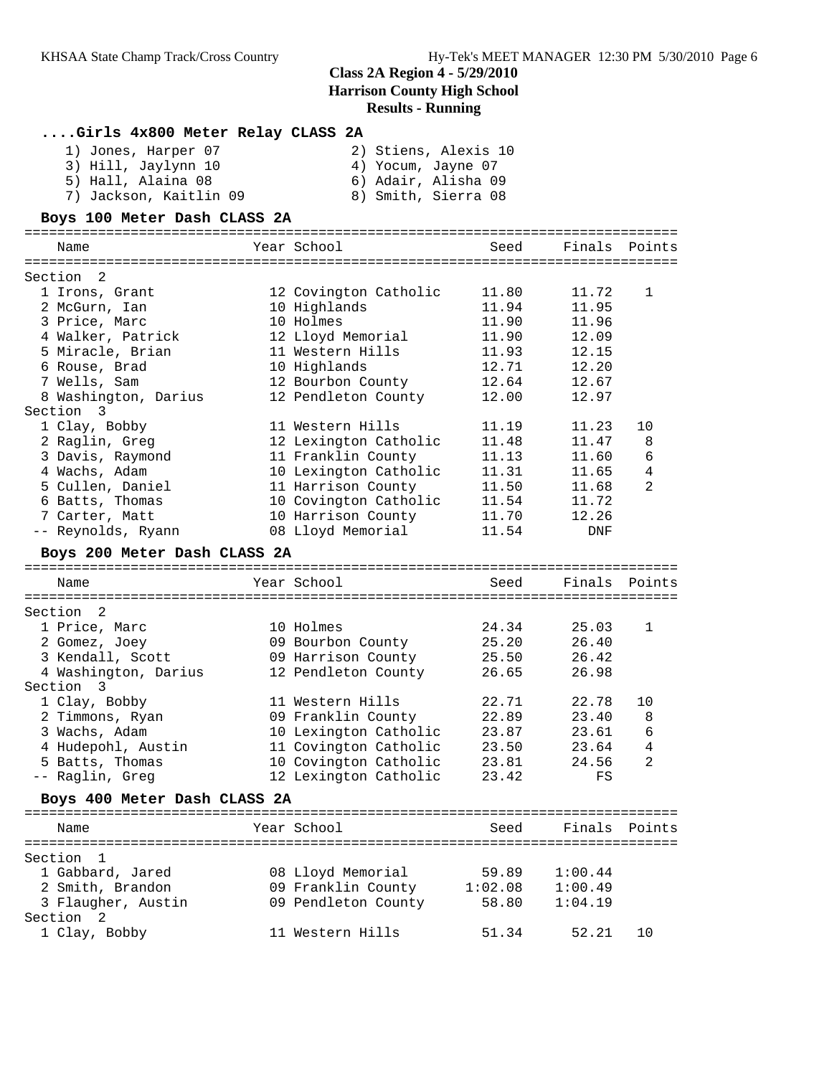| Girls 4x800 Meter Relay CLASS 2A |                       |                |               |                 |
|----------------------------------|-----------------------|----------------|---------------|-----------------|
| 1) Jones, Harper 07              | 2) Stiens, Alexis 10  |                |               |                 |
| 3) Hill, Jaylynn 10              | 4) Yocum, Jayne 07    |                |               |                 |
| 5) Hall, Alaina 08               | 6) Adair, Alisha 09   |                |               |                 |
| 7) Jackson, Kaitlin 09           | 8) Smith, Sierra 08   |                |               |                 |
|                                  |                       |                |               |                 |
| Boys 100 Meter Dash CLASS 2A     |                       |                |               |                 |
|                                  |                       |                |               |                 |
| Name                             | Year School           | Seed           | Finals        | Points          |
|                                  |                       |                |               |                 |
| Section 2                        |                       |                | 11.72         |                 |
| 1 Irons, Grant                   | 12 Covington Catholic | 11.80<br>11.94 |               | 1               |
| 2 McGurn, Ian                    | 10 Highlands          |                | 11.95         |                 |
| 3 Price, Marc                    | 10 Holmes             | 11.90          | 11.96         |                 |
| 4 Walker, Patrick                | 12 Lloyd Memorial     | 11.90          | 12.09         |                 |
| 5 Miracle, Brian                 | 11 Western Hills      | 11.93          | 12.15         |                 |
| 6 Rouse, Brad                    | 10 Highlands          | 12.71          | 12.20         |                 |
| 7 Wells, Sam                     | 12 Bourbon County     | 12.64          | 12.67         |                 |
| 8 Washington, Darius             | 12 Pendleton County   | 12.00          | 12.97         |                 |
| Section 3                        |                       |                |               |                 |
| 1 Clay, Bobby                    | 11 Western Hills      | 11.19          | 11.23         | 10              |
| 2 Raglin, Greg                   | 12 Lexington Catholic | 11.48          | 11.47         | 8               |
| 3 Davis, Raymond                 | 11 Franklin County    | 11.13          | 11.60         | 6               |
| 4 Wachs, Adam                    | 10 Lexington Catholic | 11.31          | 11.65         | 4               |
| 5 Cullen, Daniel                 | 11 Harrison County    | 11.50          | 11.68         | 2               |
| 6 Batts, Thomas                  | 10 Covington Catholic | 11.54          | 11.72         |                 |
| 7 Carter, Matt                   | 10 Harrison County    | 11.70          | 12.26         |                 |
| -- Reynolds, Ryann               | 08 Lloyd Memorial     | 11.54          | DNF           |                 |
| Boys 200 Meter Dash CLASS 2A     |                       |                |               |                 |
| Name                             | Year School           | Seed           | Finals        | Points          |
|                                  |                       |                |               |                 |
| Section 2                        |                       |                |               |                 |
| 1 Price, Marc                    | 10 Holmes             | 24.34          | 25.03         | 1               |
| 2 Gomez, Joey                    | 09 Bourbon County     | 25.20          | 26.40         |                 |
| 3 Kendall, Scott                 | 09 Harrison County    | 25.50          | 26.42         |                 |
| 4 Washington, Darius             | 12 Pendleton County   | 26.65          | 26.98         |                 |
| Section 3                        |                       |                |               |                 |
| 1 Clay, Bobby                    | 11 Western Hills      | 22.71          | 22.78         | 10              |
| 2 Timmons, Ryan                  | 09 Franklin County    | 22.89          | 23.40         | 8               |
| 3 Wachs, Adam                    | 10 Lexington Catholic | 23.87          | 23.61         | $6\overline{6}$ |
| 4 Hudepohl, Austin               | 11 Covington Catholic | 23.50          | 23.64         | 4               |
| 5 Batts, Thomas                  | 10 Covington Catholic | 23.81          | 24.56         | 2               |
| -- Raglin, Greg                  | 12 Lexington Catholic | 23.42          | FS            |                 |
|                                  |                       |                |               |                 |
| Boys 400 Meter Dash CLASS 2A     |                       |                |               |                 |
| Name                             | Year School           | Seed           | Finals Points |                 |
|                                  |                       |                |               |                 |
| Section<br>$\mathbf{1}$          |                       |                |               |                 |
| 1 Gabbard, Jared                 | 08 Lloyd Memorial     | 59.89          | 1:00.44       |                 |
| 2 Smith, Brandon                 | 09 Franklin County    | 1:02.08        | 1:00.49       |                 |
| 3 Flaugher, Austin               | 09 Pendleton County   | 58.80          | 1:04.19       |                 |
| Section 2                        |                       |                |               |                 |
| 1 Clay, Bobby                    | 11 Western Hills      | 51.34          | 52.21         | 10              |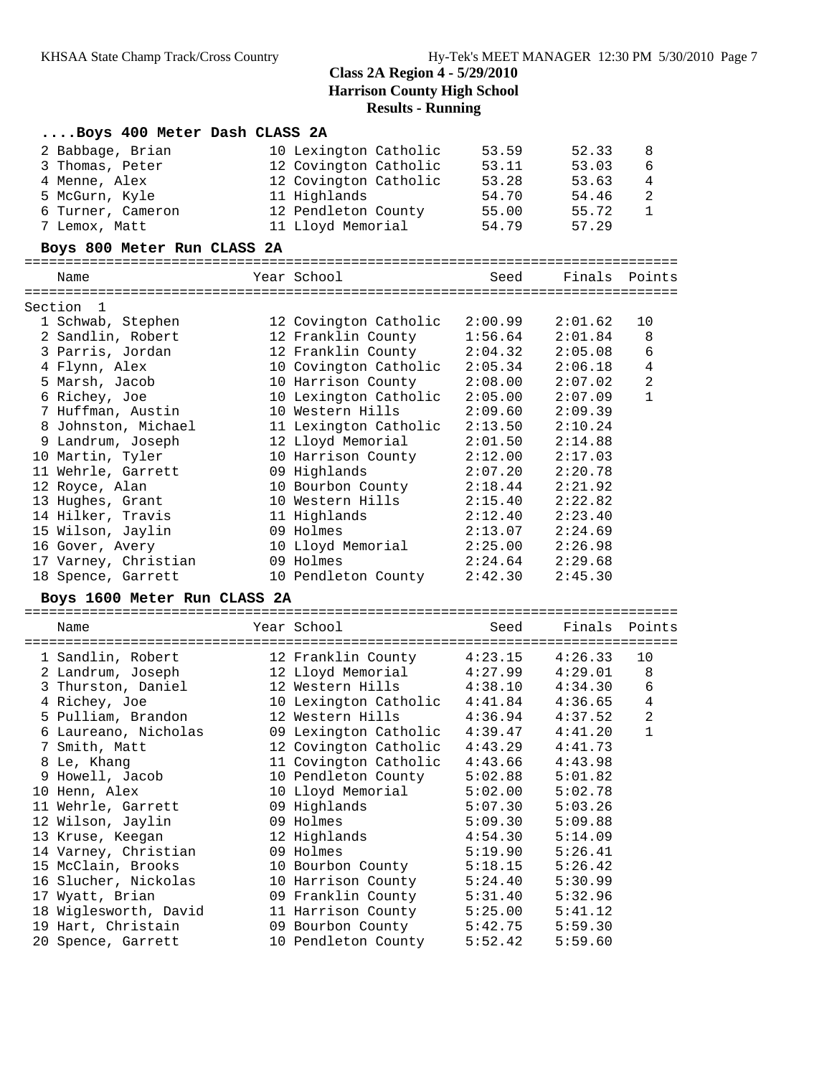| Boys 400 Meter Dash CLASS 2A |                       |         |               |                |
|------------------------------|-----------------------|---------|---------------|----------------|
| 2 Babbage, Brian             | 10 Lexington Catholic | 53.59   | 52.33         | 8              |
| 3 Thomas, Peter              | 12 Covington Catholic | 53.11   | 53.03         | 6              |
| 4 Menne, Alex                | 12 Covington Catholic | 53.28   | 53.63         | $\overline{4}$ |
| 5 McGurn, Kyle               | 11 Highlands          | 54.70   | 54.46         | $\mathbf{2}$   |
| 6 Turner, Cameron            | 12 Pendleton County   | 55.00   | 55.72         | $\mathbf{1}$   |
| 7 Lemox, Matt                | 11 Lloyd Memorial     | 54.79   | 57.29         |                |
| Boys 800 Meter Run CLASS 2A  |                       |         |               |                |
| Name                         | Year School           | Seed    | Finals Points |                |
| Section<br>1                 |                       |         |               |                |
| 1 Schwab, Stephen            | 12 Covington Catholic | 2:00.99 | 2:01.62       | 10             |
| 2 Sandlin, Robert            | 12 Franklin County    | 1:56.64 | 2:01.84       | 8              |
| 3 Parris, Jordan             | 12 Franklin County    | 2:04.32 | 2:05.08       | 6              |
| 4 Flynn, Alex                | 10 Covington Catholic | 2:05.34 | 2:06.18       | 4              |
| 5 Marsh, Jacob               | 10 Harrison County    | 2:08.00 | 2:07.02       | 2              |
| 6 Richey, Joe                | 10 Lexington Catholic | 2:05.00 | 2:07.09       | $\mathbf{1}$   |
| 7 Huffman, Austin            | 10 Western Hills      | 2:09.60 | 2:09.39       |                |
| 8 Johnston, Michael          | 11 Lexington Catholic | 2:13.50 | 2:10.24       |                |
| 9 Landrum, Joseph            | 12 Lloyd Memorial     | 2:01.50 | 2:14.88       |                |
| 10 Martin, Tyler             | 10 Harrison County    | 2:12.00 | 2:17.03       |                |
| 11 Wehrle, Garrett           | 09 Highlands          | 2:07.20 | 2:20.78       |                |
| 12 Royce, Alan               | 10 Bourbon County     | 2:18.44 | 2:21.92       |                |
| 13 Hughes, Grant             | 10 Western Hills      | 2:15.40 | 2:22.82       |                |
| 14 Hilker, Travis            | 11 Highlands          | 2:12.40 | 2:23.40       |                |
| 15 Wilson, Jaylin            | 09 Holmes             | 2:13.07 | 2:24.69       |                |
| 16 Gover, Avery              | 10 Lloyd Memorial     | 2:25.00 | 2:26.98       |                |
| 17 Varney, Christian         | 09 Holmes             | 2:24.64 | 2:29.68       |                |
| 18 Spence, Garrett           | 10 Pendleton County   | 2:42.30 | 2:45.30       |                |
| Boys 1600 Meter Run CLASS 2A |                       |         |               |                |
| Name                         | Year School           | Seed    | Finals        | Points         |
| 1 Sandlin, Robert            | 12 Franklin County    | 4:23.15 | 4:26.33       | 10             |
| 2 Landrum, Joseph            | 12 Lloyd Memorial     | 4:27.99 | 4:29.01       | 8              |
| 3 Thurston, Daniel           | 12 Western Hills      | 4:38.10 | 4:34.30       | 6              |
| 4 Richey, Joe                | 10 Lexington Catholic | 4:41.84 | 4:36.65       | 4              |
| 5 Pulliam, Brandon           | 12 Western Hills      | 4:36.94 | 4:37.52       | 2              |
| 6 Laureano, Nicholas         | 09 Lexington Catholic | 4:39.47 | 4:41.20       | $\mathbf 1$    |
| 7 Smith, Matt                | 12 Covington Catholic | 4:43.29 | 4:41.73       |                |
| 8 Le, Khang                  | 11 Covington Catholic | 4:43.66 | 4:43.98       |                |
| 9 Howell, Jacob              | 10 Pendleton County   | 5:02.88 | 5:01.82       |                |
| 10 Henn, Alex                | 10 Lloyd Memorial     | 5:02.00 | 5:02.78       |                |
| 11 Wehrle, Garrett           | 09 Highlands          | 5:07.30 | 5:03.26       |                |
| 12 Wilson, Jaylin            | 09 Holmes             | 5:09.30 | 5:09.88       |                |
| 13 Kruse, Keegan             | 12 Highlands          | 4:54.30 | 5:14.09       |                |
| 14 Varney, Christian         | 09 Holmes             | 5:19.90 | 5:26.41       |                |
| 15 McClain, Brooks           | 10 Bourbon County     | 5:18.15 | 5:26.42       |                |
| 16 Slucher, Nickolas         | 10 Harrison County    | 5:24.40 | 5:30.99       |                |
| 17 Wyatt, Brian              | 09 Franklin County    | 5:31.40 | 5:32.96       |                |
| 18 Wiglesworth, David        | 11 Harrison County    | 5:25.00 | 5:41.12       |                |
| 19 Hart, Christain           | 09 Bourbon County     | 5:42.75 | 5:59.30       |                |
| 20 Spence, Garrett           | 10 Pendleton County   | 5:52.42 | 5:59.60       |                |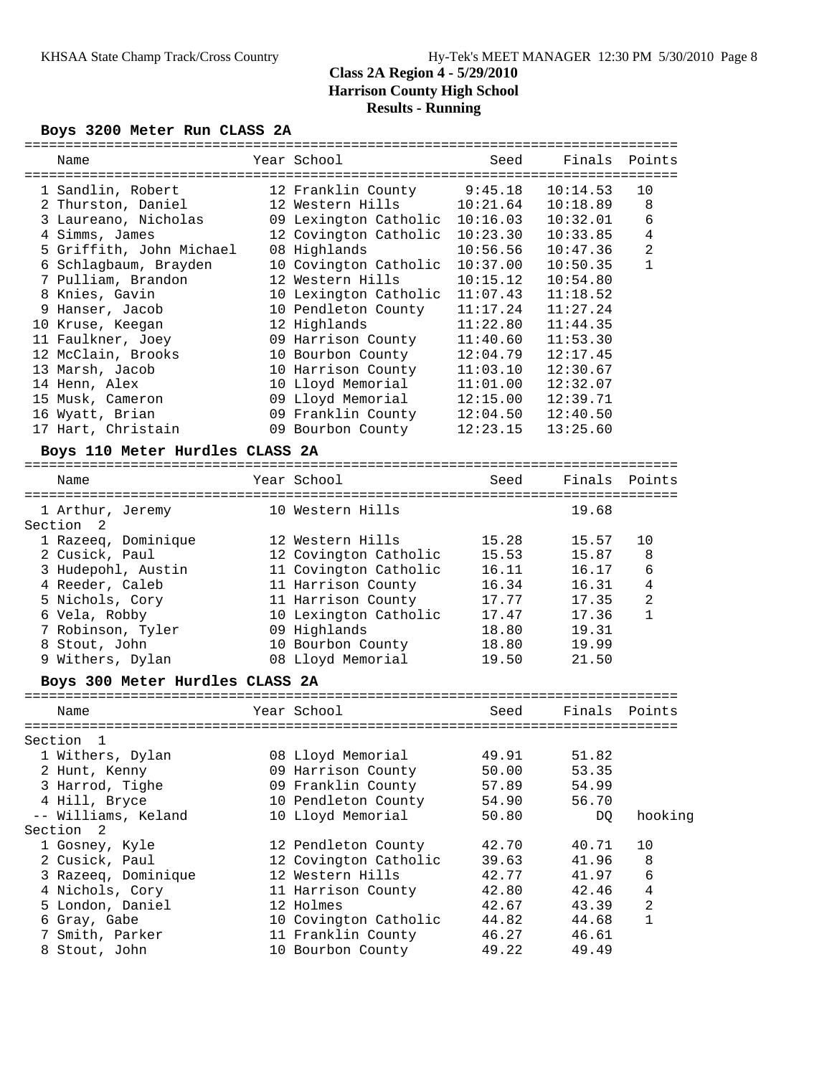## **Boys 3200 Meter Run CLASS 2A**

|                                  | =================     | =================================== |          |                |
|----------------------------------|-----------------------|-------------------------------------|----------|----------------|
| Name                             | Year School           | Seed                                | Finals   | Points         |
|                                  |                       |                                     |          |                |
| 1 Sandlin, Robert                | 12 Franklin County    | 9:45.18                             | 10:14.53 | 10             |
| 2 Thurston, Daniel               | 12 Western Hills      | 10:21.64                            | 10:18.89 | 8              |
| 3 Laureano, Nicholas             | 09 Lexington Catholic | 10:16.03                            | 10:32.01 | 6              |
| 4 Simms, James                   | 12 Covington Catholic | 10:23.30                            | 10:33.85 | 4              |
| 5 Griffith, John Michael         | 08 Highlands          | 10:56.56                            | 10:47.36 | $\overline{c}$ |
| 6 Schlagbaum, Brayden            | 10 Covington Catholic | 10:37.00                            | 10:50.35 | 1              |
| 7 Pulliam, Brandon               | 12 Western Hills      | 10:15.12                            | 10:54.80 |                |
| 8 Knies, Gavin                   | 10 Lexington Catholic | 11:07.43                            | 11:18.52 |                |
| 9 Hanser, Jacob                  | 10 Pendleton County   | 11:17.24                            | 11:27.24 |                |
| 10 Kruse, Keegan                 | 12 Highlands          | 11:22.80                            | 11:44.35 |                |
| 11 Faulkner, Joey                | 09 Harrison County    | 11:40.60                            | 11:53.30 |                |
| 12 McClain, Brooks               | 10 Bourbon County     | 12:04.79                            | 12:17.45 |                |
| 13 Marsh, Jacob                  | 10 Harrison County    | 11:03.10                            | 12:30.67 |                |
| 14 Henn, Alex                    | 10 Lloyd Memorial     | 11:01.00                            | 12:32.07 |                |
| 15 Musk, Cameron                 | 09 Lloyd Memorial     | 12:15.00                            | 12:39.71 |                |
| 16 Wyatt, Brian                  | 09 Franklin County    | 12:04.50                            | 12:40.50 |                |
| 17 Hart, Christain               | 09 Bourbon County     | 12:23.15                            | 13:25.60 |                |
| Boys 110 Meter Hurdles CLASS 2A  |                       |                                     |          |                |
|                                  |                       |                                     |          |                |
| Name                             | Year School           | Seed                                | Finals   | Points         |
| 1 Arthur, Jeremy                 | 10 Western Hills      |                                     | 19.68    |                |
| Section 2                        |                       |                                     |          |                |
| 1 Razeeq, Dominique              | 12 Western Hills      | 15.28                               | 15.57    | 10             |
| 2 Cusick, Paul                   | 12 Covington Catholic | 15.53                               | 15.87    | 8              |
| 3 Hudepohl, Austin               | 11 Covington Catholic | 16.11                               | 16.17    | 6              |
| 4 Reeder, Caleb                  | 11 Harrison County    | 16.34                               | 16.31    | 4              |
| 5 Nichols, Cory                  | 11 Harrison County    | 17.77                               | 17.35    | $\overline{c}$ |
| 6 Vela, Robby                    | 10 Lexington Catholic | 17.47                               | 17.36    | 1              |
| 7 Robinson, Tyler                | 09 Highlands          | 18.80                               | 19.31    |                |
| 8 Stout, John                    | 10 Bourbon County     | 18.80                               | 19.99    |                |
| 9 Withers, Dylan                 | 08 Lloyd Memorial     | 19.50                               | 21.50    |                |
|                                  |                       |                                     |          |                |
| Boys 300 Meter Hurdles CLASS 2A  |                       |                                     |          |                |
| Name                             | Year School           | Seed                                | Finals   | Points         |
| Section<br>$\mathbf{1}$          |                       |                                     |          |                |
| 1 Withers, Dylan                 | 08 Lloyd Memorial     | 49.91                               | 51.82    |                |
| 2 Hunt, Kenny                    | 09 Harrison County    | 50.00                               | 53.35    |                |
| 3 Harrod, Tighe                  | 09 Franklin County    | 57.89                               | 54.99    |                |
| 4 Hill, Bryce                    | 10 Pendleton County   | 54.90                               | 56.70    |                |
| -- Williams, Keland              | 10 Lloyd Memorial     | 50.80                               |          | hooking        |
| Section 2                        |                       |                                     | DQ.      |                |
| 1 Gosney, Kyle                   | 12 Pendleton County   | 42.70                               | 40.71    | 10             |
| 2 Cusick, Paul                   | 12 Covington Catholic | 39.63                               | 41.96    | 8              |
| 3 Razeeq, Dominique              | 12 Western Hills      | 42.77                               | 41.97    | 6              |
|                                  | 11 Harrison County    |                                     |          | $\overline{4}$ |
| 4 Nichols, Cory                  |                       | 42.80                               | 42.46    |                |
| 5 London, Daniel<br>6 Gray, Gabe | 12 Holmes             | 42.67                               | 43.39    | $\sqrt{2}$     |
| 7 Smith, Parker                  | 10 Covington Catholic | 44.82                               | 44.68    | $\mathbf 1$    |
|                                  | 11 Franklin County    | 46.27                               | 46.61    |                |

8 Stout, John 10 Bourbon County 49.22 49.49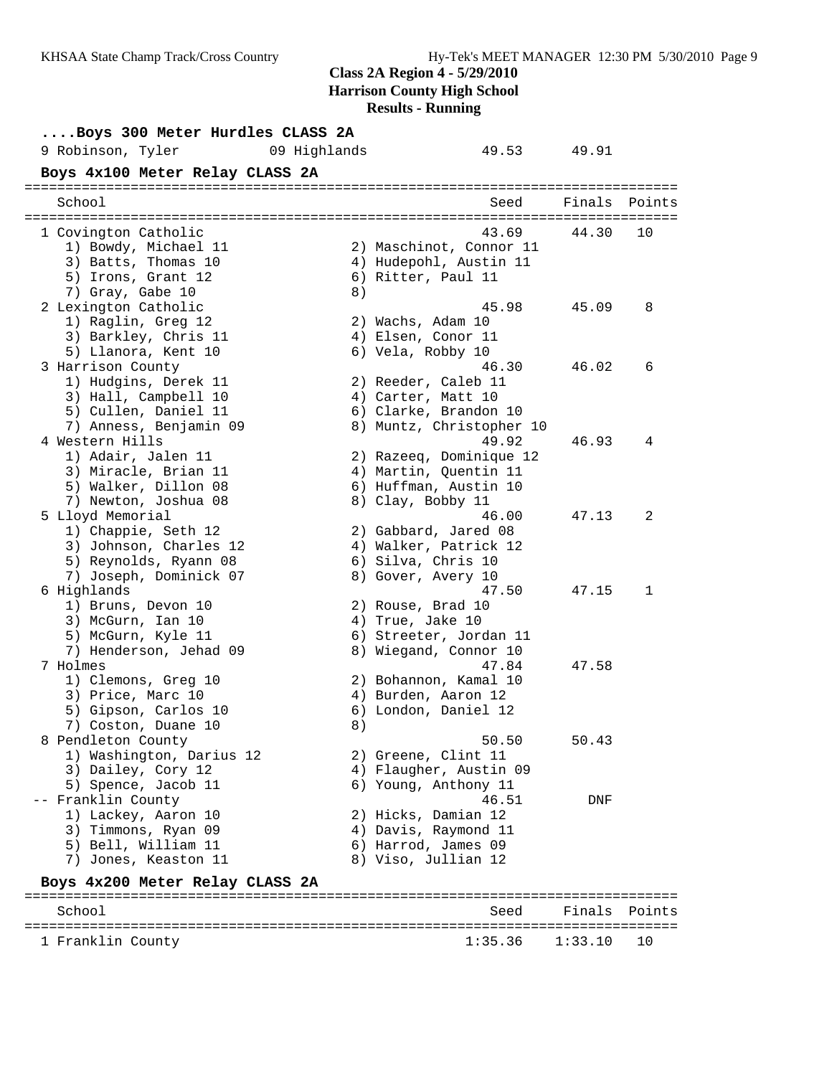| Boys 300 Meter Hurdles CLASS 2A   |    |                          |                     |        |
|-----------------------------------|----|--------------------------|---------------------|--------|
| 9 Robinson, Tyler<br>09 Highlands |    | 49.53 49.91              |                     |        |
| Boys 4x100 Meter Relay CLASS 2A   |    |                          |                     |        |
|                                   |    |                          |                     |        |
| School                            |    | Seed                     | Finals              | Points |
| 1 Covington Catholic              |    | 43.69                    | 44.30               | 10     |
| 1) Bowdy, Michael 11              |    | 2) Maschinot, Connor 11  |                     |        |
| 3) Batts, Thomas 10               |    | 4) Hudepohl, Austin 11   |                     |        |
| 5) Irons, Grant 12                |    | 6) Ritter, Paul 11       |                     |        |
| 7) Gray, Gabe 10                  | 8) |                          |                     |        |
| 2 Lexington Catholic              |    | 45.98                    | 45.09               | 8      |
| 1) Raglin, Greg 12                |    | 2) Wachs, Adam 10        |                     |        |
| 3) Barkley, Chris 11              |    | 4) Elsen, Conor 11       |                     |        |
| 5) Llanora, Kent 10               |    | 6) Vela, Robby 10        |                     |        |
| 3 Harrison County                 |    | 46.30                    | 46.02               | 6      |
| 1) Hudgins, Derek 11              |    | 2) Reeder, Caleb 11      |                     |        |
| 3) Hall, Campbell 10              |    | 4) Carter, Matt 10       |                     |        |
| 5) Cullen, Daniel 11              |    | 6) Clarke, Brandon 10    |                     |        |
| 7) Anness, Benjamin 09            |    | 8) Muntz, Christopher 10 |                     |        |
| 4 Western Hills                   |    | 49.92                    | 46.93               | 4      |
| 1) Adair, Jalen 11                |    | 2) Razeeq, Dominique 12  |                     |        |
| 3) Miracle, Brian 11              |    | 4) Martin, Quentin 11    |                     |        |
| 5) Walker, Dillon 08              |    | 6) Huffman, Austin 10    |                     |        |
| 7) Newton, Joshua 08              |    | 8) Clay, Bobby 11        |                     |        |
| 5 Lloyd Memorial                  |    | 46.00                    | 47.13               | 2      |
| 1) Chappie, Seth 12               |    | 2) Gabbard, Jared 08     |                     |        |
| 3) Johnson, Charles 12            |    | 4) Walker, Patrick 12    |                     |        |
| 5) Reynolds, Ryann 08             |    | 6) Silva, Chris 10       |                     |        |
| 7) Joseph, Dominick 07            |    | 8) Gover, Avery 10       |                     |        |
| 6 Highlands                       |    | 47.50                    | 47.15               | 1      |
| 1) Bruns, Devon 10                |    | 2) Rouse, Brad 10        |                     |        |
| 3) McGurn, Ian 10                 |    | 4) True, Jake 10         |                     |        |
| 5) McGurn, Kyle 11                |    | 6) Streeter, Jordan 11   |                     |        |
| 7) Henderson, Jehad 09            |    | 8) Wiegand, Connor 10    |                     |        |
| 7 Holmes                          |    | 47.84                    | 47.58               |        |
| 1) Clemons, Greg 10               |    | 2) Bohannon, Kamal 10    |                     |        |
| 3) Price, Marc 10                 |    | 4) Burden, Aaron 12      |                     |        |
| 5) Gipson, Carlos 10              |    | 6) London, Daniel 12     |                     |        |
| 7) Coston, Duane 10               | 8) |                          |                     |        |
| 8 Pendleton County                |    | 50.50                    | 50.43               |        |
| 1) Washington, Darius 12          |    | 2) Greene, Clint 11      |                     |        |
| 3) Dailey, Cory 12                |    | 4) Flaugher, Austin 09   |                     |        |
| 5) Spence, Jacob 11               |    | 6) Young, Anthony 11     |                     |        |
| -- Franklin County                |    | 46.51                    | DNF                 |        |
| 1) Lackey, Aaron 10               |    | 2) Hicks, Damian 12      |                     |        |
| 3) Timmons, Ryan 09               |    | 4) Davis, Raymond 11     |                     |        |
| 5) Bell, William 11               |    | 6) Harrod, James 09      |                     |        |
| 7) Jones, Keaston 11              |    | 8) Viso, Jullian 12      |                     |        |
| Boys 4x200 Meter Relay CLASS 2A   |    |                          |                     |        |
|                                   |    |                          |                     |        |
| C <sub>ab</sub> < 1               |    |                          | $F_{1}$ nala Dointa |        |

School School School Seed Finals Points ================================================================================  $1:35.36$   $1:33.10$  10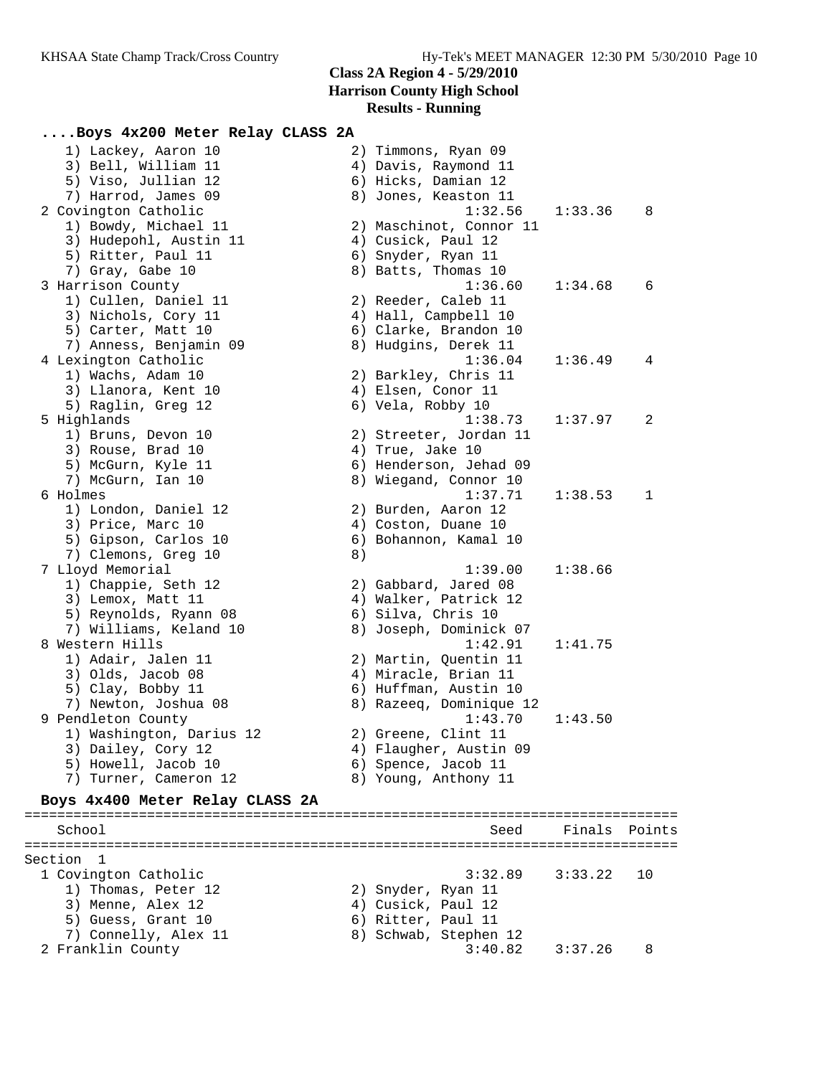### **....Boys 4x200 Meter Relay CLASS 2A**

| 1) Lackey, Aaron 10                   |                  | 2) Timmons, Ryan 09                           |         |     |
|---------------------------------------|------------------|-----------------------------------------------|---------|-----|
| 3) Bell, William 11                   |                  | 4) Davis, Raymond 11                          |         |     |
| 5) Viso, Jullian 12                   |                  | 6) Hicks, Damian 12                           |         |     |
| 7) Harrod, James 09                   |                  | 8) Jones, Keaston 11                          |         |     |
| 2 Covington Catholic                  |                  | 1:32.56                                       | 1:33.36 | - 8 |
| 1) Bowdy, Michael 11                  |                  | 2) Maschinot, Connor 11                       |         |     |
| 3) Hudepohl, Austin 11                |                  | 4) Cusick, Paul 12                            |         |     |
| 5) Ritter, Paul 11                    |                  | 6) Snyder, Ryan 11                            |         |     |
| 7) Gray, Gabe 10                      |                  | 8) Batts, Thomas 10                           |         |     |
| 3 Harrison County                     |                  | 1:36.60                                       | 1:34.68 | 6   |
| 1) Cullen, Daniel 11                  |                  | 2) Reeder, Caleb 11                           |         |     |
| 3) Nichols, Cory 11                   |                  | 4) Hall, Campbell 10                          |         |     |
| 5) Carter, Matt 10                    |                  | 6) Clarke, Brandon 10                         |         |     |
| 7) Anness, Benjamin 09                |                  | 8) Hudgins, Derek 11                          |         |     |
| 4 Lexington Catholic                  |                  | 1:36.04                                       | 1:36.49 | 4   |
| 1) Wachs, Adam 10                     |                  | 2) Barkley, Chris 11                          |         |     |
| 3) Llanora, Kent 10                   |                  | 4) Elsen, Conor 11                            |         |     |
| 5) Raglin, Greg 12                    |                  | 6) Vela, Robby 10                             |         |     |
| 5 Highlands                           |                  | 1:38.73                                       | 1:37.97 | 2   |
| 1) Bruns, Devon 10                    |                  | 2) Streeter, Jordan 11                        |         |     |
| 3) Rouse, Brad 10                     | 4) True, Jake 10 |                                               |         |     |
| 5) McGurn, Kyle 11                    |                  | 6) Henderson, Jehad 09                        |         |     |
| 7) McGurn, Ian 10                     |                  | 8) Wiegand, Connor 10                         |         |     |
| 6 Holmes                              |                  | 1:37.71                                       | 1:38.53 | 1   |
| 1) London, Daniel 12                  |                  | 2) Burden, Aaron 12                           |         |     |
| 3) Price, Marc 10                     |                  | 4) Coston, Duane 10                           |         |     |
| 5) Gipson, Carlos 10                  |                  | 6) Bohannon, Kamal 10                         |         |     |
| 7) Clemons, Greg 10                   | 8)               |                                               |         |     |
| 7 Lloyd Memorial                      |                  | 1:39.00                                       | 1:38.66 |     |
| 1) Chappie, Seth 12                   |                  | 2) Gabbard, Jared 08                          |         |     |
| 3) Lemox, Matt 11                     |                  | 4) Walker, Patrick 12                         |         |     |
| 5) Reynolds, Ryann 08                 |                  | 6) Silva, Chris 10                            |         |     |
| 7) Williams, Keland 10                |                  | 8) Joseph, Dominick 07                        |         |     |
| 8 Western Hills<br>1) Adair, Jalen 11 |                  | 1:42.91                                       | 1:41.75 |     |
| 3) Olds, Jacob 08                     |                  | 2) Martin, Quentin 11                         |         |     |
| 5) Clay, Bobby 11                     |                  | 4) Miracle, Brian 11<br>6) Huffman, Austin 10 |         |     |
| 7) Newton, Joshua 08                  |                  | 8) Razeeq, Dominique 12                       |         |     |
| 9 Pendleton County                    |                  | 1:43.70                                       | 1:43.50 |     |
| 1) Washington, Darius 12              |                  | 2) Greene, Clint 11                           |         |     |
| 3) Dailey, Cory 12                    |                  | 4) Flaugher, Austin 09                        |         |     |
| 5) Howell, Jacob 10                   |                  | 6) Spence, Jacob 11                           |         |     |
| 7) Turner, Cameron 12                 |                  | 8) Young, Anthony 11                          |         |     |
|                                       |                  |                                               |         |     |
| Boys 4x400 Meter Relay CLASS 2A       |                  |                                               |         |     |

================================================================================ School School Seed Finals Points ================================================================================ Section 1 1 Covington Catholic 3:32.89 3:33.22 10 1) Thomas, Peter 12 2) Snyder, Ryan 11 3) Menne, Alex 12 (4) Cusick, Paul 12 5) Guess, Grant 10 (6) Ritter, Paul 11 7) Connelly, Alex 11 8) Schwab, Stephen 12 2 Franklin County 3:40.82 3:37.26 8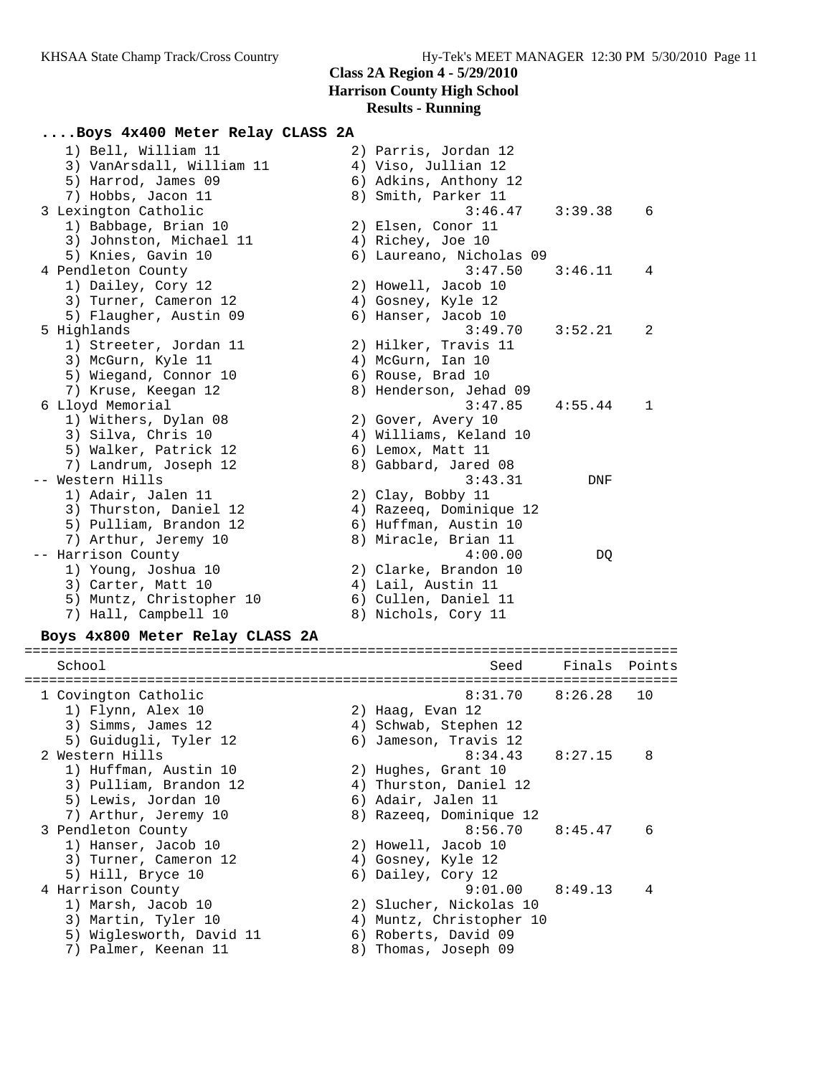### **....Boys 4x400 Meter Relay CLASS 2A**

| 1) Bell, William 11             | 2) Parris, Jordan 12     |         |        |
|---------------------------------|--------------------------|---------|--------|
| 3) VanArsdall, William 11       | 4) Viso, Jullian 12      |         |        |
| 5) Harrod, James 09             | 6) Adkins, Anthony 12    |         |        |
| 7) Hobbs, Jacon 11              | 8) Smith, Parker 11      |         |        |
| 3 Lexington Catholic            | 3:46.47                  | 3:39.38 | 6      |
| 1) Babbage, Brian 10            | 2) Elsen, Conor 11       |         |        |
| 3) Johnston, Michael 11         | 4) Richey, Joe 10        |         |        |
| 5) Knies, Gavin 10              | 6) Laureano, Nicholas 09 |         |        |
| 4 Pendleton County              | 3:47.50                  | 3:46.11 | 4      |
| 1) Dailey, Cory 12              | 2) Howell, Jacob 10      |         |        |
| 3) Turner, Cameron 12           | 4) Gosney, Kyle 12       |         |        |
| 5) Flaugher, Austin 09          | 6) Hanser, Jacob 10      |         |        |
| 5 Highlands                     | 3:49.70                  | 3:52.21 | 2      |
| 1) Streeter, Jordan 11          | 2) Hilker, Travis 11     |         |        |
| 3) McGurn, Kyle 11              | 4) McGurn, Ian 10        |         |        |
| 5) Wiegand, Connor 10           | 6) Rouse, Brad 10        |         |        |
| 7) Kruse, Keegan 12             | 8) Henderson, Jehad 09   |         |        |
| 6 Lloyd Memorial                | 3:47.85                  | 4:55.44 | 1      |
| 1) Withers, Dylan 08            | 2) Gover, Avery 10       |         |        |
| 3) Silva, Chris 10              | 4) Williams, Keland 10   |         |        |
| 5) Walker, Patrick 12           | 6) Lemox, Matt 11        |         |        |
| 7) Landrum, Joseph 12           | 8) Gabbard, Jared 08     |         |        |
| -- Western Hills                | 3:43.31                  | DNF     |        |
| 1) Adair, Jalen 11              | 2) Clay, Bobby 11        |         |        |
| 3) Thurston, Daniel 12          | 4) Razeeq, Dominique 12  |         |        |
| 5) Pulliam, Brandon 12          | 6) Huffman, Austin 10    |         |        |
| 7) Arthur, Jeremy 10            | 8) Miracle, Brian 11     |         |        |
| -- Harrison County              | 4:00.00                  | DQ      |        |
| 1) Young, Joshua 10             | 2) Clarke, Brandon 10    |         |        |
| 3) Carter, Matt 10              | 4) Lail, Austin 11       |         |        |
| 5) Muntz, Christopher 10        | 6) Cullen, Daniel 11     |         |        |
| 7) Hall, Campbell 10            | 8) Nichols, Cory 11      |         |        |
| Boys 4x800 Meter Relay CLASS 2A |                          |         |        |
| School                          | Seed                     | Finals  | Points |
|                                 |                          |         |        |
| 1 Covington Catholic            | 8:31.70                  | 8:26.28 | 10     |
| 1) Flynn, Alex 10               | 2) Haag, Evan 12         |         |        |
| 3) Simms, James 12              | 4) Schwab, Stephen 12    |         |        |
| 5) Guidugli, Tyler 12           | 6) Jameson, Travis 12    |         |        |
| 2 Western Hills                 | 8:34.43                  | 8:27.15 | 8      |
|                                 |                          |         |        |

 1) Huffman, Austin 10 2) Hughes, Grant 10 3) Pulliam, Brandon 12 4) Thurston, Daniel 12 5) Lewis, Jordan 10 (6) Adair, Jalen 11 7) Arthur, Jeremy 10 8) Razeeq, Dominique 12 3 Pendleton County 8:56.70 8:45.47 6 1) Hanser, Jacob 10 2) Howell, Jacob 10 3) Turner, Cameron 12 4) Gosney, Kyle 12 5) Hill, Bryce 10 6) Dailey, Cory 12 4 Harrison County 9:01.00 8:49.13 4 1) Marsh, Jacob 10 2) Slucher, Nickolas 10 3) Martin, Tyler 10 4) Muntz, Christopher 10 5) Wiglesworth, David 11 6) Roberts, David 09

7) Palmer, Keenan 11 8) Thomas, Joseph 09